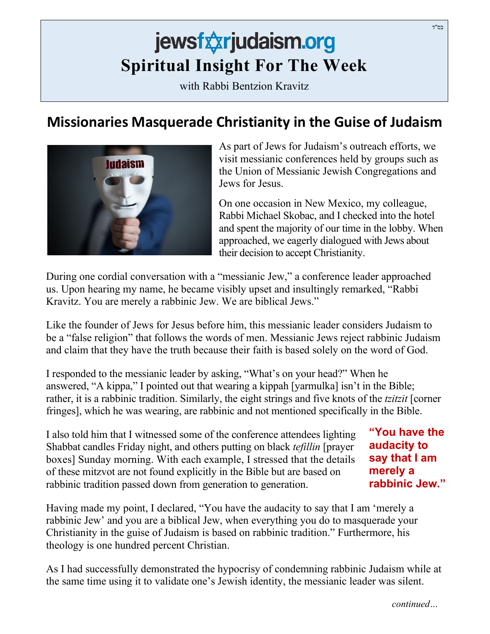## jewsfxxrjudaism.org **Spiritual Insight For The Week**

with Rabbi Bentzion Kravitz

## **Missionaries Masquerade Christianity in the Guise of Judaism**



As part of Jews for Judaism's outreach efforts, we visit messianic conferences held by groups such as the Union of Messianic Jewish Congregations and Jews for Jesus.

On one occasion in New Mexico, my colleague, Rabbi Michael Skobac, and I checked into the hotel and spent the majority of our time in the lobby. When approached, we eagerly dialogued with Jews about their decision to accept Christianity.

During one cordial conversation with a "messianic Jew," a conference leader approached us. Upon hearing my name, he became visibly upset and insultingly remarked, "Rabbi Kravitz. You are merely a rabbinic Jew. We are biblical Jews."

Like the founder of Jews for Jesus before him, this messianic leader considers Judaism to be a "false religion" that follows the words of men. Messianic Jews reject rabbinic Judaism and claim that they have the truth because their faith is based solely on the word of God.

I responded to the messianic leader by asking, "What's on your head?" When he answered, "A kippa," I pointed out that wearing a kippah [yarmulka] isn't in the Bible; rather, it is a rabbinic tradition. Similarly, the eight strings and five knots of the *tzitzit* [corner fringes], which he was wearing, are rabbinic and not mentioned specifically in the Bible.

I also told him that I witnessed some of the conference attendees lighting Shabbat candles Friday night, and others putting on black *tefillin* [prayer boxes] Sunday morning. With each example, I stressed that the details of these mitzvot are not found explicitly in the Bible but are based on rabbinic tradition passed down from generation to generation.

**"You have the audacity to say that I am merely a rabbinic Jew."**

Having made my point, I declared, "You have the audacity to say that I am 'merely a rabbinic Jew' and you are a biblical Jew, when everything you do to masquerade your Christianity in the guise of Judaism is based on rabbinic tradition." Furthermore, his theology is one hundred percent Christian.

As I had successfully demonstrated the hypocrisy of condemning rabbinic Judaism while at the same time using it to validate one's Jewish identity, the messianic leader was silent.

בס"ד